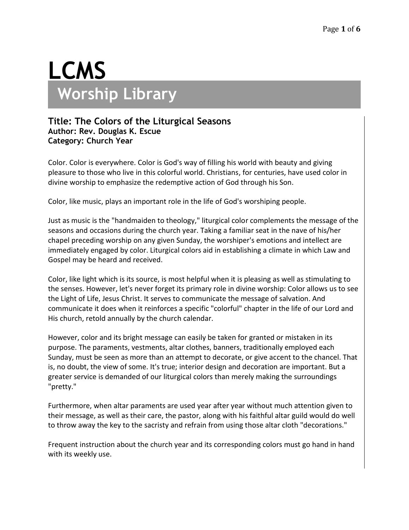# **LCMS Worship Library**

### **Title: The Colors of the Liturgical Seasons Author: Rev. Douglas K. Escue Category: Church Year**

Color. Color is everywhere. Color is God's way of filling his world with beauty and giving pleasure to those who live in this colorful world. Christians, for centuries, have used color in divine worship to emphasize the redemptive action of God through his Son.

Color, like music, plays an important role in the life of God's worshiping people.

Just as music is the "handmaiden to theology," liturgical color complements the message of the seasons and occasions during the church year. Taking a familiar seat in the nave of his/her chapel preceding worship on any given Sunday, the worshiper's emotions and intellect are immediately engaged by color. Liturgical colors aid in establishing a climate in which Law and Gospel may be heard and received.

Color, like light which is its source, is most helpful when it is pleasing as well as stimulating to the senses. However, let's never forget its primary role in divine worship: Color allows us to see the Light of Life, Jesus Christ. It serves to communicate the message of salvation. And communicate it does when it reinforces a specific "colorful" chapter in the life of our Lord and His church, retold annually by the church calendar.

However, color and its bright message can easily be taken for granted or mistaken in its purpose. The paraments, vestments, altar clothes, banners, traditionally employed each Sunday, must be seen as more than an attempt to decorate, or give accent to the chancel. That is, no doubt, the view of some. It's true; interior design and decoration are important. But a greater service is demanded of our liturgical colors than merely making the surroundings "pretty."

Furthermore, when altar paraments are used year after year without much attention given to their message, as well as their care, the pastor, along with his faithful altar guild would do well to throw away the key to the sacristy and refrain from using those altar cloth "decorations."

Frequent instruction about the church year and its corresponding colors must go hand in hand with its weekly use.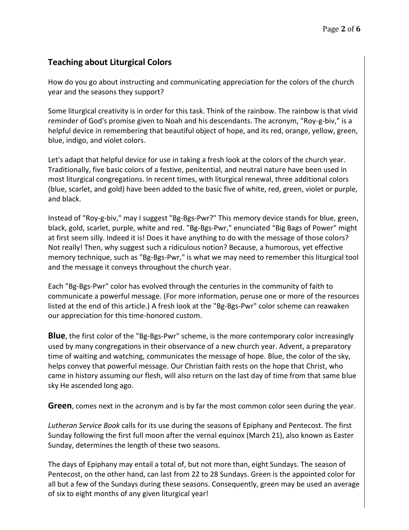# **Teaching about Liturgical Colors**

How do you go about instructing and communicating appreciation for the colors of the church year and the seasons they support?

Some liturgical creativity is in order for this task. Think of the rainbow. The rainbow is that vivid reminder of God's promise given to Noah and his descendants. The acronym, "Roy-g-biv," is a helpful device in remembering that beautiful object of hope, and its red, orange, yellow, green, blue, indigo, and violet colors.

Let's adapt that helpful device for use in taking a fresh look at the colors of the church year. Traditionally, five basic colors of a festive, penitential, and neutral nature have been used in most liturgical congregations. In recent times, with liturgical renewal, three additional colors (blue, scarlet, and gold) have been added to the basic five of white, red, green, violet or purple, and black.

Instead of "Roy-g-biv," may I suggest "Bg-Bgs-Pwr?" This memory device stands for blue, green, black, gold, scarlet, purple, white and red. "Bg-Bgs-Pwr," enunciated "Big Bags of Power" might at first seem silly. Indeed it is! Does it have anything to do with the message of those colors? Not really! Then, why suggest such a ridiculous notion? Because, a humorous, yet effective memory technique, such as "Bg-Bgs-Pwr," is what we may need to remember this liturgical tool and the message it conveys throughout the church year.

Each "Bg-Bgs-Pwr" color has evolved through the centuries in the community of faith to communicate a powerful message. (For more information, peruse one or more of the resources listed at the end of this article.) A fresh look at the "Bg-Bgs-Pwr" color scheme can reawaken our appreciation for this time-honored custom.

**Blue**, the first color of the "Bg-Bgs-Pwr" scheme, is the more contemporary color increasingly used by many congregations in their observance of a new church year. Advent, a preparatory time of waiting and watching, communicates the message of hope. Blue, the color of the sky, helps convey that powerful message. Our Christian faith rests on the hope that Christ, who came in history assuming our flesh, will also return on the last day of time from that same blue sky He ascended long ago.

**Green**, comes next in the acronym and is by far the most common color seen during the year.

*Lutheran Service Book* calls for its use during the seasons of Epiphany and Pentecost. The first Sunday following the first full moon after the vernal equinox (March 21), also known as Easter Sunday, determines the length of these two seasons.

The days of Epiphany may entail a total of, but not more than, eight Sundays. The season of Pentecost, on the other hand, can last from 22 to 28 Sundays. Green is the appointed color for all but a few of the Sundays during these seasons. Consequently, green may be used an average of six to eight months of any given liturgical year!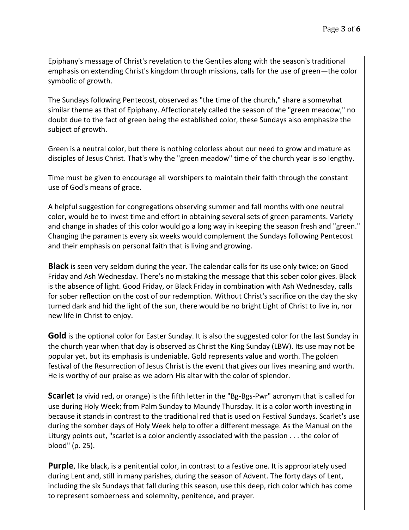Epiphany's message of Christ's revelation to the Gentiles along with the season's traditional emphasis on extending Christ's kingdom through missions, calls for the use of green—the color symbolic of growth.

The Sundays following Pentecost, observed as "the time of the church," share a somewhat similar theme as that of Epiphany. Affectionately called the season of the "green meadow," no doubt due to the fact of green being the established color, these Sundays also emphasize the subject of growth.

Green is a neutral color, but there is nothing colorless about our need to grow and mature as disciples of Jesus Christ. That's why the "green meadow" time of the church year is so lengthy.

Time must be given to encourage all worshipers to maintain their faith through the constant use of God's means of grace.

A helpful suggestion for congregations observing summer and fall months with one neutral color, would be to invest time and effort in obtaining several sets of green paraments. Variety and change in shades of this color would go a long way in keeping the season fresh and "green." Changing the paraments every six weeks would complement the Sundays following Pentecost and their emphasis on personal faith that is living and growing.

**Black** is seen very seldom during the year. The calendar calls for its use only twice; on Good Friday and Ash Wednesday. There's no mistaking the message that this sober color gives. Black is the absence of light. Good Friday, or Black Friday in combination with Ash Wednesday, calls for sober reflection on the cost of our redemption. Without Christ's sacrifice on the day the sky turned dark and hid the light of the sun, there would be no bright Light of Christ to live in, nor new life in Christ to enjoy.

**Gold** is the optional color for Easter Sunday. It is also the suggested color for the last Sunday in the church year when that day is observed as Christ the King Sunday (LBW). Its use may not be popular yet, but its emphasis is undeniable. Gold represents value and worth. The golden festival of the Resurrection of Jesus Christ is the event that gives our lives meaning and worth. He is worthy of our praise as we adorn His altar with the color of splendor.

**Scarlet** (a vivid red, or orange) is the fifth letter in the "Bg-Bgs-Pwr" acronym that is called for use during Holy Week; from Palm Sunday to Maundy Thursday. It is a color worth investing in because it stands in contrast to the traditional red that is used on Festival Sundays. Scarlet's use during the somber days of Holy Week help to offer a different message. As the Manual on the Liturgy points out, "scarlet is a color anciently associated with the passion . . . the color of blood" (p. 25).

**Purple**, like black, is a penitential color, in contrast to a festive one. It is appropriately used during Lent and, still in many parishes, during the season of Advent. The forty days of Lent, including the six Sundays that fall during this season, use this deep, rich color which has come to represent somberness and solemnity, penitence, and prayer.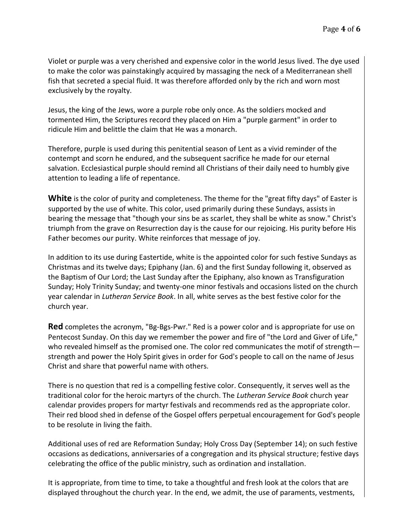Violet or purple was a very cherished and expensive color in the world Jesus lived. The dye used to make the color was painstakingly acquired by massaging the neck of a Mediterranean shell fish that secreted a special fluid. It was therefore afforded only by the rich and worn most exclusively by the royalty.

Jesus, the king of the Jews, wore a purple robe only once. As the soldiers mocked and tormented Him, the Scriptures record they placed on Him a "purple garment" in order to ridicule Him and belittle the claim that He was a monarch.

Therefore, purple is used during this penitential season of Lent as a vivid reminder of the contempt and scorn he endured, and the subsequent sacrifice he made for our eternal salvation. Ecclesiastical purple should remind all Christians of their daily need to humbly give attention to leading a life of repentance.

**White** is the color of purity and completeness. The theme for the "great fifty days" of Easter is supported by the use of white. This color, used primarily during these Sundays, assists in bearing the message that "though your sins be as scarlet, they shall be white as snow." Christ's triumph from the grave on Resurrection day is the cause for our rejoicing. His purity before His Father becomes our purity. White reinforces that message of joy.

In addition to its use during Eastertide, white is the appointed color for such festive Sundays as Christmas and its twelve days; Epiphany (Jan. 6) and the first Sunday following it, observed as the Baptism of Our Lord; the Last Sunday after the Epiphany, also known as Transfiguration Sunday; Holy Trinity Sunday; and twenty-one minor festivals and occasions listed on the church year calendar in *Lutheran Service Book*. In all, white serves as the best festive color for the church year.

**Red** completes the acronym, "Bg-Bgs-Pwr." Red is a power color and is appropriate for use on Pentecost Sunday. On this day we remember the power and fire of "the Lord and Giver of Life," who revealed himself as the promised one. The color red communicates the motif of strength strength and power the Holy Spirit gives in order for God's people to call on the name of Jesus Christ and share that powerful name with others.

There is no question that red is a compelling festive color. Consequently, it serves well as the traditional color for the heroic martyrs of the church. The *Lutheran Service Book* church year calendar provides propers for martyr festivals and recommends red as the appropriate color. Their red blood shed in defense of the Gospel offers perpetual encouragement for God's people to be resolute in living the faith.

Additional uses of red are Reformation Sunday; Holy Cross Day (September 14); on such festive occasions as dedications, anniversaries of a congregation and its physical structure; festive days celebrating the office of the public ministry, such as ordination and installation.

It is appropriate, from time to time, to take a thoughtful and fresh look at the colors that are displayed throughout the church year. In the end, we admit, the use of paraments, vestments,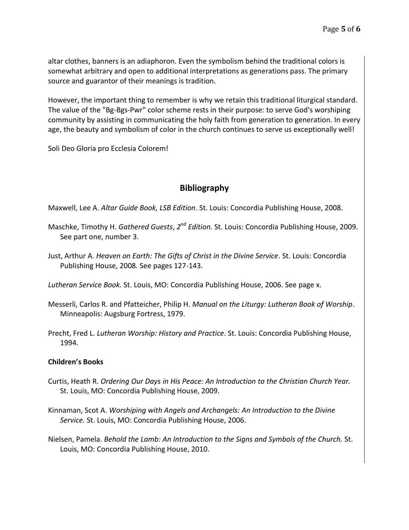altar clothes, banners is an adiaphoron. Even the symbolism behind the traditional colors is somewhat arbitrary and open to additional interpretations as generations pass. The primary source and guarantor of their meanings is tradition.

However, the important thing to remember is why we retain this traditional liturgical standard. The value of the "Bg-Bgs-Pwr" color scheme rests in their purpose: to serve God's worshiping community by assisting in communicating the holy faith from generation to generation. In every age, the beauty and symbolism of color in the church continues to serve us exceptionally well!

Soli Deo Gloria pro Ecclesia Colorem!

## **Bibliography**

Maxwell, Lee A. *Altar Guide Book, LSB Edition*. St. Louis: Concordia Publishing House, 2008.

- Maschke, Timothy H. *Gathered Guests, 2<sup>nd</sup> Edition.* St. Louis: Concordia Publishing House, 2009. See part one, number 3.
- Just, Arthur A. *Heaven on Earth: The Gifts of Christ in the Divine Service*. St. Louis: Concordia Publishing House, 2008. See pages 127-143.

*Lutheran Service Book.* St. Louis, MO: Concordia Publishing House, 2006. See page x.

- Messerli, Carlos R. and Pfatteicher, Philip H. *Manual on the Liturgy: Lutheran Book of Worship*. Minneapolis: Augsburg Fortress, 1979.
- Precht, Fred L. *Lutheran Worship: History and Practice*. St. Louis: Concordia Publishing House, 1994.

#### **Children's Books**

- Curtis, Heath R. *Ordering Our Days in His Peace: An Introduction to the Christian Church Year.*  St. Louis, MO: Concordia Publishing House, 2009.
- Kinnaman, Scot A. *Worshiping with Angels and Archangels: An Introduction to the Divine Service.* St. Louis, MO: Concordia Publishing House, 2006.
- Nielsen, Pamela. *Behold the Lamb: An Introduction to the Signs and Symbols of the Church.* St. Louis, MO: Concordia Publishing House, 2010.